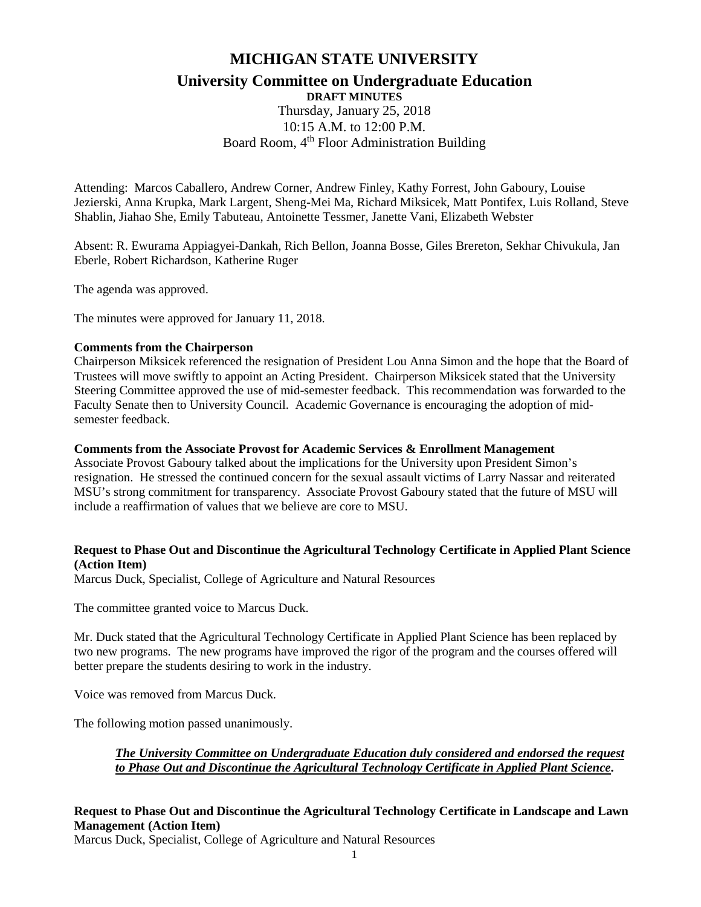# **MICHIGAN STATE UNIVERSITY University Committee on Undergraduate Education DRAFT MINUTES**

Thursday, January 25, 2018 10:15 A.M. to 12:00 P.M. Board Room, 4<sup>th</sup> Floor Administration Building

Attending: Marcos Caballero, Andrew Corner, Andrew Finley, Kathy Forrest, John Gaboury, Louise Jezierski, Anna Krupka, Mark Largent, Sheng-Mei Ma, Richard Miksicek, Matt Pontifex, Luis Rolland, Steve Shablin, Jiahao She, Emily Tabuteau, Antoinette Tessmer, Janette Vani, Elizabeth Webster

Absent: R. Ewurama Appiagyei-Dankah, Rich Bellon, Joanna Bosse, Giles Brereton, Sekhar Chivukula, Jan Eberle, Robert Richardson, Katherine Ruger

The agenda was approved.

The minutes were approved for January 11, 2018.

#### **Comments from the Chairperson**

Chairperson Miksicek referenced the resignation of President Lou Anna Simon and the hope that the Board of Trustees will move swiftly to appoint an Acting President. Chairperson Miksicek stated that the University Steering Committee approved the use of mid-semester feedback. This recommendation was forwarded to the Faculty Senate then to University Council. Academic Governance is encouraging the adoption of midsemester feedback.

#### **Comments from the Associate Provost for Academic Services & Enrollment Management**

Associate Provost Gaboury talked about the implications for the University upon President Simon's resignation. He stressed the continued concern for the sexual assault victims of Larry Nassar and reiterated MSU's strong commitment for transparency. Associate Provost Gaboury stated that the future of MSU will include a reaffirmation of values that we believe are core to MSU.

#### **Request to Phase Out and Discontinue the Agricultural Technology Certificate in Applied Plant Science (Action Item)**

Marcus Duck, Specialist, College of Agriculture and Natural Resources

The committee granted voice to Marcus Duck.

Mr. Duck stated that the Agricultural Technology Certificate in Applied Plant Science has been replaced by two new programs. The new programs have improved the rigor of the program and the courses offered will better prepare the students desiring to work in the industry.

Voice was removed from Marcus Duck.

The following motion passed unanimously.

*The University Committee on Undergraduate Education duly considered and endorsed the request to Phase Out and Discontinue the Agricultural Technology Certificate in Applied Plant Science***.**

## **Request to Phase Out and Discontinue the Agricultural Technology Certificate in Landscape and Lawn Management (Action Item)**

Marcus Duck, Specialist, College of Agriculture and Natural Resources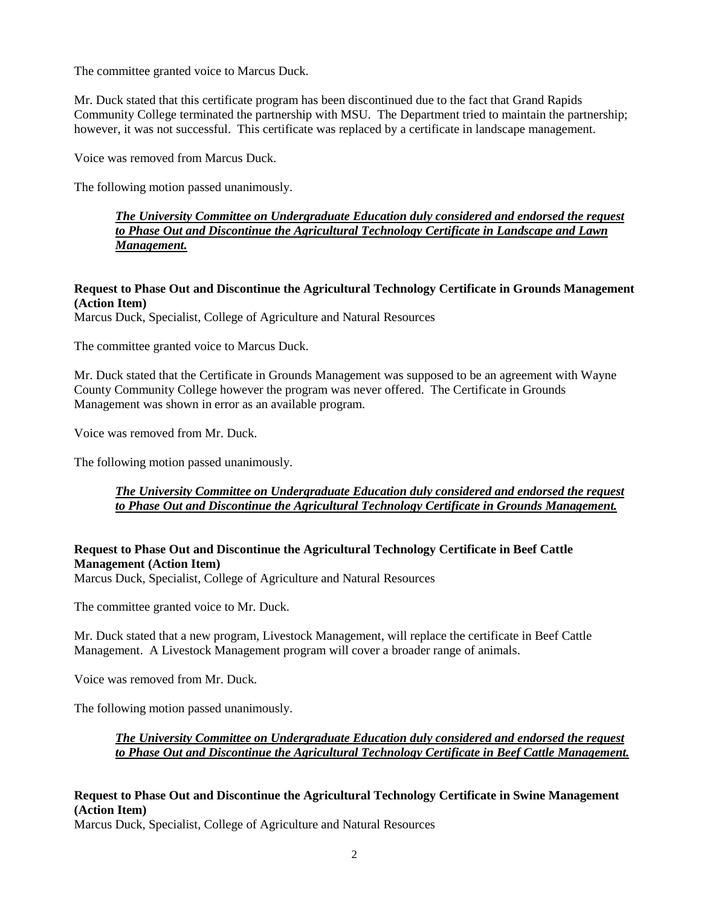The committee granted voice to Marcus Duck.

Mr. Duck stated that this certificate program has been discontinued due to the fact that Grand Rapids Community College terminated the partnership with MSU. The Department tried to maintain the partnership; however, it was not successful. This certificate was replaced by a certificate in landscape management.

Voice was removed from Marcus Duck.

The following motion passed unanimously.

*The University Committee on Undergraduate Education duly considered and endorsed the request to Phase Out and Discontinue the Agricultural Technology Certificate in Landscape and Lawn Management.*

# **Request to Phase Out and Discontinue the Agricultural Technology Certificate in Grounds Management (Action Item)**

Marcus Duck, Specialist, College of Agriculture and Natural Resources

The committee granted voice to Marcus Duck.

Mr. Duck stated that the Certificate in Grounds Management was supposed to be an agreement with Wayne County Community College however the program was never offered. The Certificate in Grounds Management was shown in error as an available program.

Voice was removed from Mr. Duck.

The following motion passed unanimously.

# *The University Committee on Undergraduate Education duly considered and endorsed the request to Phase Out and Discontinue the Agricultural Technology Certificate in Grounds Management.*

## **Request to Phase Out and Discontinue the Agricultural Technology Certificate in Beef Cattle Management (Action Item)**

Marcus Duck, Specialist, College of Agriculture and Natural Resources

The committee granted voice to Mr. Duck.

Mr. Duck stated that a new program, Livestock Management, will replace the certificate in Beef Cattle Management. A Livestock Management program will cover a broader range of animals.

Voice was removed from Mr. Duck.

The following motion passed unanimously.

## *The University Committee on Undergraduate Education duly considered and endorsed the request to Phase Out and Discontinue the Agricultural Technology Certificate in Beef Cattle Management.*

# **Request to Phase Out and Discontinue the Agricultural Technology Certificate in Swine Management (Action Item)**

Marcus Duck, Specialist, College of Agriculture and Natural Resources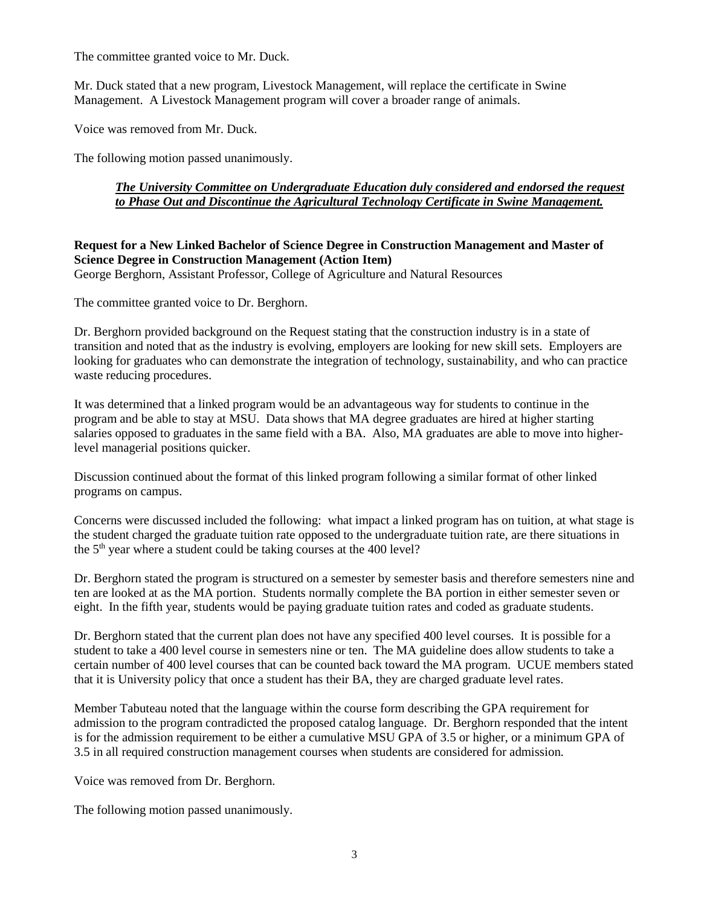The committee granted voice to Mr. Duck.

Mr. Duck stated that a new program, Livestock Management, will replace the certificate in Swine Management. A Livestock Management program will cover a broader range of animals.

Voice was removed from Mr. Duck.

The following motion passed unanimously.

# *The University Committee on Undergraduate Education duly considered and endorsed the request to Phase Out and Discontinue the Agricultural Technology Certificate in Swine Management.*

# **Request for a New Linked Bachelor of Science Degree in Construction Management and Master of Science Degree in Construction Management (Action Item)**

George Berghorn, Assistant Professor, College of Agriculture and Natural Resources

The committee granted voice to Dr. Berghorn.

Dr. Berghorn provided background on the Request stating that the construction industry is in a state of transition and noted that as the industry is evolving, employers are looking for new skill sets. Employers are looking for graduates who can demonstrate the integration of technology, sustainability, and who can practice waste reducing procedures.

It was determined that a linked program would be an advantageous way for students to continue in the program and be able to stay at MSU. Data shows that MA degree graduates are hired at higher starting salaries opposed to graduates in the same field with a BA. Also, MA graduates are able to move into higherlevel managerial positions quicker.

Discussion continued about the format of this linked program following a similar format of other linked programs on campus.

Concerns were discussed included the following: what impact a linked program has on tuition, at what stage is the student charged the graduate tuition rate opposed to the undergraduate tuition rate, are there situations in the  $5<sup>th</sup>$  year where a student could be taking courses at the 400 level?

Dr. Berghorn stated the program is structured on a semester by semester basis and therefore semesters nine and ten are looked at as the MA portion. Students normally complete the BA portion in either semester seven or eight. In the fifth year, students would be paying graduate tuition rates and coded as graduate students.

Dr. Berghorn stated that the current plan does not have any specified 400 level courses. It is possible for a student to take a 400 level course in semesters nine or ten. The MA guideline does allow students to take a certain number of 400 level courses that can be counted back toward the MA program. UCUE members stated that it is University policy that once a student has their BA, they are charged graduate level rates.

Member Tabuteau noted that the language within the course form describing the GPA requirement for admission to the program contradicted the proposed catalog language. Dr. Berghorn responded that the intent is for the admission requirement to be either a cumulative MSU GPA of 3.5 or higher, or a minimum GPA of 3.5 in all required construction management courses when students are considered for admission.

Voice was removed from Dr. Berghorn.

The following motion passed unanimously.